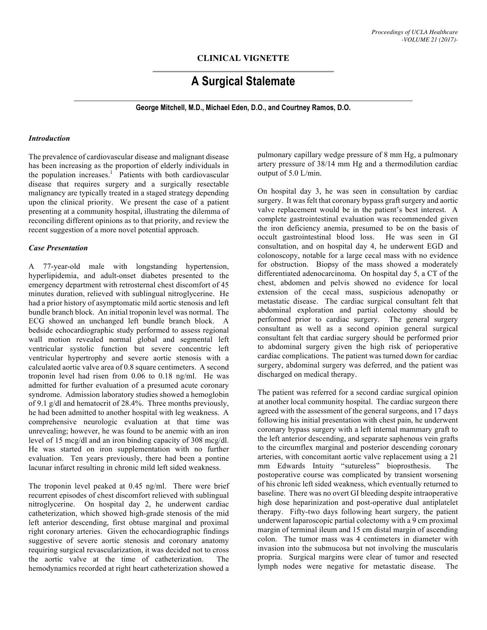# **CLINICAL VIGNETTE**

# **A Surgical Stalemate**

**George Mitchell, M.D., Michael Eden, D.O., and Courtney Ramos, D.O.**

#### *Introduction*

The prevalence of cardiovascular disease and malignant disease has been increasing as the proportion of elderly individuals in the population increases.<sup>1</sup> Patients with both cardiovascular disease that requires surgery and a surgically resectable malignancy are typically treated in a staged strategy depending upon the clinical priority. We present the case of a patient presenting at a community hospital, illustrating the dilemma of reconciling different opinions as to that priority, and review the recent suggestion of a more novel potential approach.

#### *Case Presentation*

A 77-year-old male with longstanding hypertension, hyperlipidemia, and adult-onset diabetes presented to the emergency department with retrosternal chest discomfort of 45 minutes duration, relieved with sublingual nitroglycerine. He had a prior history of asymptomatic mild aortic stenosis and left bundle branch block. An initial troponin level was normal. The ECG showed an unchanged left bundle branch block. A bedside echocardiographic study performed to assess regional wall motion revealed normal global and segmental left ventricular systolic function but severe concentric left ventricular hypertrophy and severe aortic stenosis with a calculated aortic valve area of 0.8 square centimeters. A second troponin level had risen from 0.06 to 0.18 ng/ml. He was admitted for further evaluation of a presumed acute coronary syndrome. Admission laboratory studies showed a hemoglobin of 9.1 g/dl and hematocrit of 28.4%. Three months previously, he had been admitted to another hospital with leg weakness. A comprehensive neurologic evaluation at that time was unrevealing; however, he was found to be anemic with an iron level of 15 mcg/dl and an iron binding capacity of 308 mcg/dl. He was started on iron supplementation with no further evaluation. Ten years previously, there had been a pontine lacunar infarct resulting in chronic mild left sided weakness.

The troponin level peaked at 0.45 ng/ml. There were brief recurrent episodes of chest discomfort relieved with sublingual nitroglycerine. On hospital day 2, he underwent cardiac catheterization, which showed high-grade stenosis of the mid left anterior descending, first obtuse marginal and proximal right coronary arteries. Given the echocardiographic findings suggestive of severe aortic stenosis and coronary anatomy requiring surgical revascularization, it was decided not to cross the aortic valve at the time of catheterization. The hemodynamics recorded at right heart catheterization showed a

pulmonary capillary wedge pressure of 8 mm Hg, a pulmonary artery pressure of 38/14 mm Hg and a thermodilution cardiac output of 5.0 L/min.

On hospital day 3, he was seen in consultation by cardiac surgery. It was felt that coronary bypass graft surgery and aortic valve replacement would be in the patient's best interest. A complete gastrointestinal evaluation was recommended given the iron deficiency anemia, presumed to be on the basis of occult gastrointestinal blood loss. He was seen in GI consultation, and on hospital day 4, he underwent EGD and colonoscopy, notable for a large cecal mass with no evidence for obstruction. Biopsy of the mass showed a moderately differentiated adenocarcinoma. On hospital day 5, a CT of the chest, abdomen and pelvis showed no evidence for local extension of the cecal mass, suspicious adenopathy or metastatic disease. The cardiac surgical consultant felt that abdominal exploration and partial colectomy should be performed prior to cardiac surgery. The general surgery consultant as well as a second opinion general surgical consultant felt that cardiac surgery should be performed prior to abdominal surgery given the high risk of perioperative cardiac complications. The patient was turned down for cardiac surgery, abdominal surgery was deferred, and the patient was discharged on medical therapy.

The patient was referred for a second cardiac surgical opinion at another local community hospital. The cardiac surgeon there agreed with the assessment of the general surgeons, and 17 days following his initial presentation with chest pain, he underwent coronary bypass surgery with a left internal mammary graft to the left anterior descending, and separate saphenous vein grafts to the circumflex marginal and posterior descending coronary arteries, with concomitant aortic valve replacement using a 21 mm Edwards Intuity "sutureless" bioprosthesis. The postoperative course was complicated by transient worsening of his chronic left sided weakness, which eventually returned to baseline. There was no overt GI bleeding despite intraoperative high dose heparinization and post-operative dual antiplatelet therapy. Fifty-two days following heart surgery, the patient underwent laparoscopic partial colectomy with a 9 cm proximal margin of terminal ileum and 15 cm distal margin of ascending colon. The tumor mass was 4 centimeters in diameter with invasion into the submucosa but not involving the muscularis propria. Surgical margins were clear of tumor and resected lymph nodes were negative for metastatic disease. The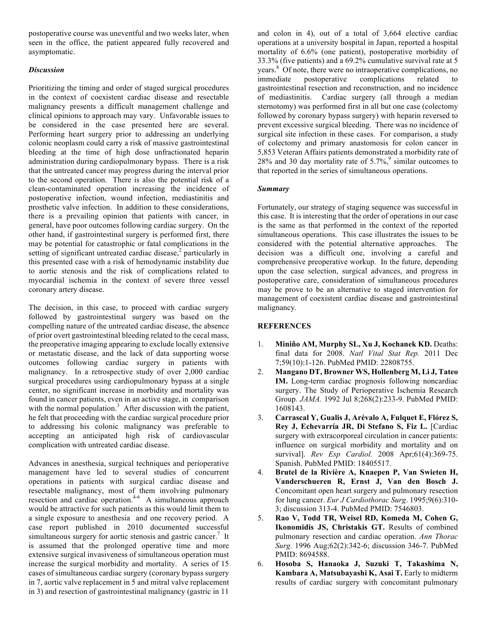postoperative course was uneventful and two weeks later, when seen in the office, the patient appeared fully recovered and asymptomatic.

## *Discussion*

Prioritizing the timing and order of staged surgical procedures in the context of coexistent cardiac disease and resectable malignancy presents a difficult management challenge and clinical opinions to approach may vary. Unfavorable issues to be considered in the case presented here are several. Performing heart surgery prior to addressing an underlying colonic neoplasm could carry a risk of massive gastrointestinal bleeding at the time of high dose unfractionated heparin administration during cardiopulmonary bypass. There is a risk that the untreated cancer may progress during the interval prior to the second operation. There is also the potential risk of a clean-contaminated operation increasing the incidence of postoperative infection, wound infection, mediastinitis and prosthetic valve infection. In addition to these considerations, there is a prevailing opinion that patients with cancer, in general, have poor outcomes following cardiac surgery. On the other hand, if gastrointestinal surgery is performed first, there may be potential for catastrophic or fatal complications in the setting of significant untreated cardiac disease,<sup>2</sup> particularly in this presented case with a risk of hemodynamic instability due to aortic stenosis and the risk of complications related to myocardial ischemia in the context of severe three vessel coronary artery disease.

The decision, in this case, to proceed with cardiac surgery followed by gastrointestinal surgery was based on the compelling nature of the untreated cardiac disease, the absence of prior overt gastrointestinal bleeding related to the cecal mass, the preoperative imaging appearing to exclude locally extensive or metastatic disease, and the lack of data supporting worse outcomes following cardiac surgery in patients with malignancy. In a retrospective study of over 2,000 cardiac surgical procedures using cardiopulmonary bypass at a single center, no significant increase in morbidity and mortality was found in cancer patients, even in an active stage, in comparison with the normal population.<sup>3</sup> After discussion with the patient, he felt that proceeding with the cardiac surgical procedure prior to addressing his colonic malignancy was preferable to accepting an anticipated high risk of cardiovascular complication with untreated cardiac disease.

Advances in anesthesia, surgical techniques and perioperative management have led to several studies of concurrent operations in patients with surgical cardiac disease and resectable malignancy, most of them involving pulmonary resection and cardiac operation.<sup>4-6</sup> A simultaneous approach would be attractive for such patients as this would limit them to a single exposure to anesthesia and one recovery period. A case report published in 2010 documented successful simultaneous surgery for aortic stenosis and gastric cancer.<sup>7</sup> It is assumed that the prolonged operative time and more extensive surgical invasiveness of simultaneous operation must increase the surgical morbidity and mortality. A series of 15 cases of simultaneous cardiac surgery (coronary bypass surgery in 7, aortic valve replacement in 5 and mitral valve replacement in 3) and resection of gastrointestinal malignancy (gastric in 11

and colon in 4), out of a total of 3,664 elective cardiac operations at a university hospital in Japan, reported a hospital mortality of 6.6% (one patient), postoperative morbidity of 33.3% (five patients) and a 69.2% cumulative survival rate at 5 years. 8 Of note, there were no intraoperative complications, no immediate postoperative complications related to gastrointestinal resection and reconstruction, and no incidence of mediastinitis. Cardiac surgery (all through a median sternotomy) was performed first in all but one case (colectomy followed by coronary bypass surgery) with heparin reversed to prevent excessive surgical bleeding. There was no incidence of surgical site infection in these cases. For comparison, a study of colectomy and primary anastomosis for colon cancer in 5,853 Veteran Affairs patients demonstrated a morbidity rate of 28% and 30 day mortality rate of  $5.7\%$ , similar outcomes to that reported in the series of simultaneous operations.

## *Summary*

Fortunately, our strategy of staging sequence was successful in this case. It is interesting that the order of operations in our case is the same as that performed in the context of the reported simultaneous operations. This case illustrates the issues to be considered with the potential alternative approaches. The decision was a difficult one, involving a careful and comprehensive preoperative workup. In the future, depending upon the case selection, surgical advances, and progress in postoperative care, consideration of simultaneous procedures may be prove to be an alternative to staged intervention for management of coexistent cardiac disease and gastrointestinal malignancy.

## **REFERENCES**

- 1. **Miniño AM, Murphy SL, Xu J, Kochanek KD.** Deaths: final data for 2008. *Natl Vital Stat Rep.* 2011 Dec 7;59(10):1-126. PubMed PMID: 22808755.
- 2. **Mangano DT, Browner WS, Hollenberg M, Li J, Tateo IM.** Long-term cardiac prognosis following noncardiac surgery. The Study of Perioperative Ischemia Research Group. *JAMA.* 1992 Jul 8;268(2):233-9. PubMed PMID: 1608143.
- 3. **Carrascal Y, Gualis J, Arévalo A, Fulquet E, Flórez S, Rey J, Echevarría JR, Di Stefano S, Fiz L.** [Cardiac surgery with extracorporeal circulation in cancer patients: influence on surgical morbidity and mortality and on survival]. *Rev Esp Cardiol.* 2008 Apr;61(4):369-75. Spanish. PubMed PMID: 18405517.
- 4. **Brutel de la Rivière A, Knaepen P, Van Swieten H, Vanderschueren R, Ernst J, Van den Bosch J.** Concomitant open heart surgery and pulmonary resection for lung cancer. *Eur J Cardiothorac Surg*. 1995;9(6):310- 3; discussion 313-4. PubMed PMID: 7546803.
- 5. **Rao V, Todd TR, Weisel RD, Komeda M, Cohen G, Ikonomidis JS, Christakis GT.** Results of combined pulmonary resection and cardiac operation. *Ann Thorac Surg.* 1996 Aug;62(2):342-6; discussion 346-7. PubMed PMID: 8694588.
- 6. **Hosoba S, Hanaoka J, Suzuki T, Takashima N, Kambara A, Matsubayashi K, Asai T.** Early to midterm results of cardiac surgery with concomitant pulmonary